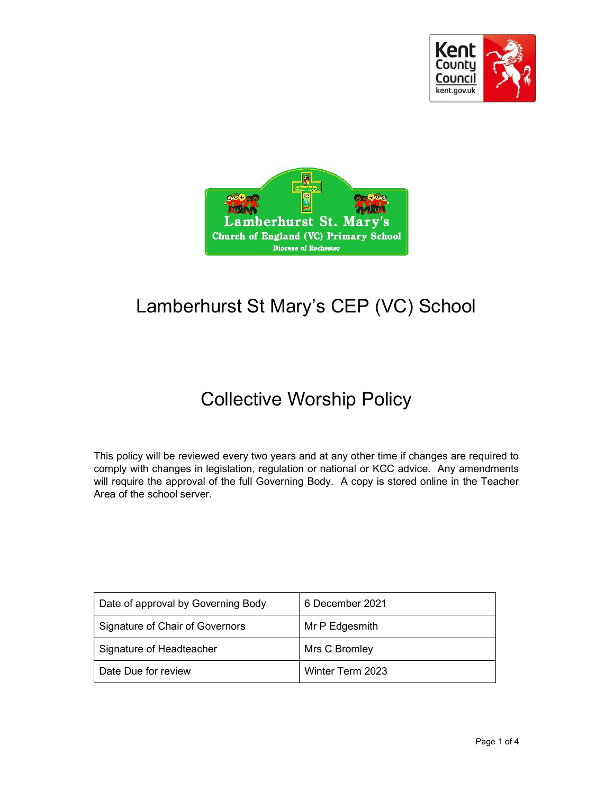



# Lamberhurst St Mary's CEP (VC) School

# Collective Worship Policy

This policy will be reviewed every two years and at any other time if changes are required to comply with changes in legislation, regulation or national or KCC advice. Any amendments will require the approval of the full Governing Body. A copy is stored online in the Teacher Area of the school server.

| Date of approval by Governing Body | 6 December 2021  |
|------------------------------------|------------------|
| Signature of Chair of Governors    | Mr P Edgesmith   |
| Signature of Headteacher           | Mrs C Bromley    |
| Date Due for review                | Winter Term 2023 |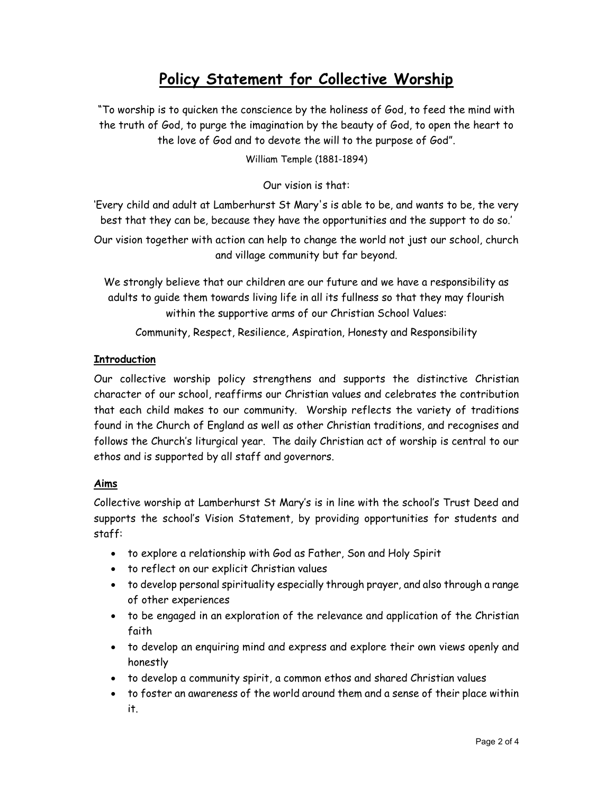# Policy Statement for Collective Worship

"To worship is to quicken the conscience by the holiness of God, to feed the mind with the truth of God, to purge the imagination by the beauty of God, to open the heart to the love of God and to devote the will to the purpose of God".

William Temple (1881-1894)

Our vision is that:

'Every child and adult at Lamberhurst St Mary's is able to be, and wants to be, the very best that they can be, because they have the opportunities and the support to do so.'

Our vision together with action can help to change the world not just our school, church and village community but far beyond.

We strongly believe that our children are our future and we have a responsibility as adults to guide them towards living life in all its fullness so that they may flourish within the supportive arms of our Christian School Values:

Community, Respect, Resilience, Aspiration, Honesty and Responsibility

## **Introduction**

Our collective worship policy strengthens and supports the distinctive Christian character of our school, reaffirms our Christian values and celebrates the contribution that each child makes to our community. Worship reflects the variety of traditions found in the Church of England as well as other Christian traditions, and recognises and follows the Church's liturgical year. The daily Christian act of worship is central to our ethos and is supported by all staff and governors.

#### Aims

Collective worship at Lamberhurst St Mary's is in line with the school's Trust Deed and supports the school's Vision Statement, by providing opportunities for students and staff:

- to explore a relationship with God as Father, Son and Holy Spirit
- to reflect on our explicit Christian values
- to develop personal spirituality especially through prayer, and also through a range of other experiences
- to be engaged in an exploration of the relevance and application of the Christian faith
- to develop an enquiring mind and express and explore their own views openly and honestly
- to develop a community spirit, a common ethos and shared Christian values
- to foster an awareness of the world around them and a sense of their place within it.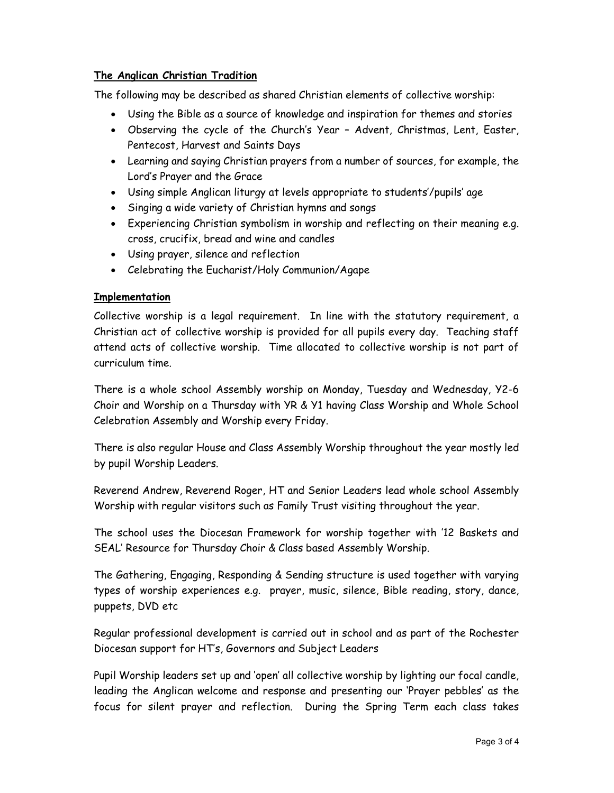#### The Anglican Christian Tradition

The following may be described as shared Christian elements of collective worship:

- Using the Bible as a source of knowledge and inspiration for themes and stories
- Observing the cycle of the Church's Year Advent, Christmas, Lent, Easter, Pentecost, Harvest and Saints Days
- Learning and saying Christian prayers from a number of sources, for example, the Lord's Prayer and the Grace
- Using simple Anglican liturgy at levels appropriate to students'/pupils' age
- Singing a wide variety of Christian hymns and songs
- Experiencing Christian symbolism in worship and reflecting on their meaning e.g. cross, crucifix, bread and wine and candles
- Using prayer, silence and reflection
- Celebrating the Eucharist/Holy Communion/Agape

#### **Implementation**

Collective worship is a legal requirement. In line with the statutory requirement, a Christian act of collective worship is provided for all pupils every day. Teaching staff attend acts of collective worship. Time allocated to collective worship is not part of curriculum time.

There is a whole school Assembly worship on Monday, Tuesday and Wednesday, Y2-6 Choir and Worship on a Thursday with YR & Y1 having Class Worship and Whole School Celebration Assembly and Worship every Friday.

There is also regular House and Class Assembly Worship throughout the year mostly led by pupil Worship Leaders.

Reverend Andrew, Reverend Roger, HT and Senior Leaders lead whole school Assembly Worship with regular visitors such as Family Trust visiting throughout the year.

The school uses the Diocesan Framework for worship together with '12 Baskets and SEAL' Resource for Thursday Choir & Class based Assembly Worship.

The Gathering, Engaging, Responding & Sending structure is used together with varying types of worship experiences e.g. prayer, music, silence, Bible reading, story, dance, puppets, DVD etc

Regular professional development is carried out in school and as part of the Rochester Diocesan support for HT's, Governors and Subject Leaders

Pupil Worship leaders set up and 'open' all collective worship by lighting our focal candle, leading the Anglican welcome and response and presenting our 'Prayer pebbles' as the focus for silent prayer and reflection. During the Spring Term each class takes